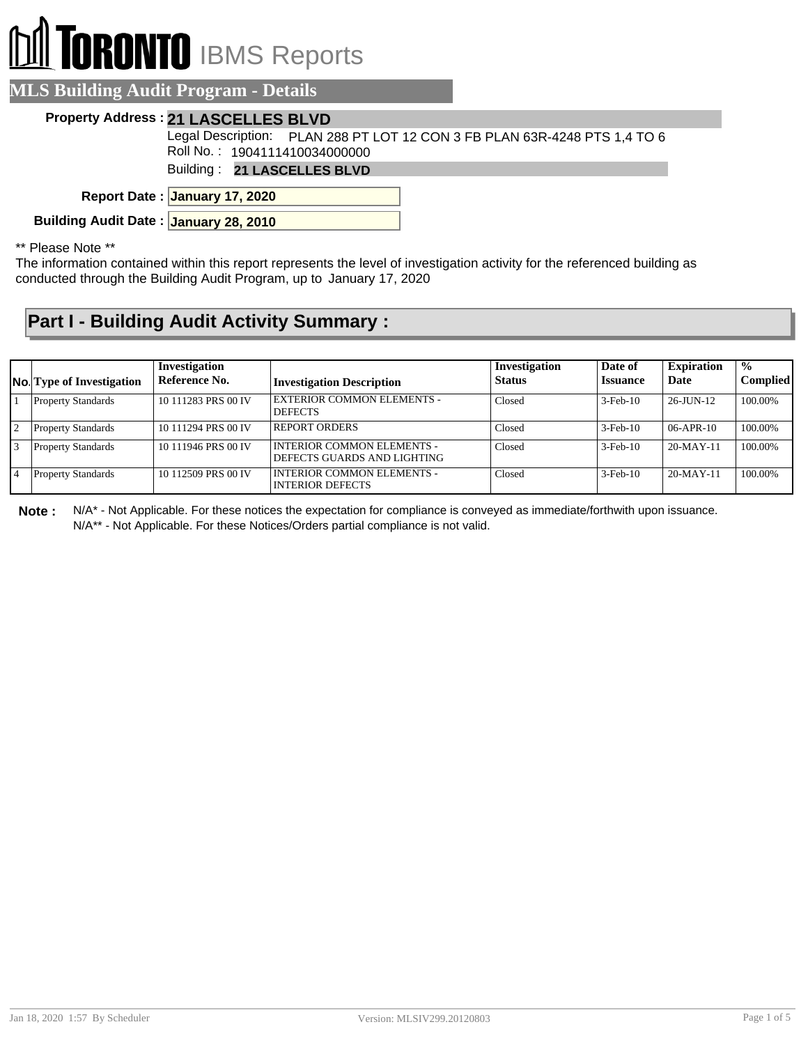# **RONTO** IBMS Reports

| <b>ALS Building Audit Program - Details</b>                                                                |
|------------------------------------------------------------------------------------------------------------|
| <b>Property Address: 21 LASCELLES BLVD</b>                                                                 |
| Legal Description: PLAN 288 PT LOT 12 CON 3 FB PLAN 63R-4248 PTS 1,4 TO 6<br>Roll No.: 1904111410034000000 |
| Building: 21 LASCELLES BLVD                                                                                |
| Report Date: January 17, 2020                                                                              |

**Building Audit Date : January 28, 2010**

#### \*\* Please Note \*\*

The information contained within this report represents the level of investigation activity for the referenced building as conducted through the Building Audit Program, up to January 17, 2020

### **Part I - Building Audit Activity Summary :**

|    | <b>No.</b> Type of Investigation | Investigation<br>Reference No. | <b>Investigation Description</b>                          | Investigation<br><b>Status</b> | Date of<br><b>Issuance</b> | <b>Expiration</b><br>Date | $\mathcal{O}'_0$<br><b>Complied</b> |
|----|----------------------------------|--------------------------------|-----------------------------------------------------------|--------------------------------|----------------------------|---------------------------|-------------------------------------|
|    | <b>Property Standards</b>        | 10 111283 PRS 00 IV            | EXTERIOR COMMON ELEMENTS -<br><b>DEFECTS</b>              | Closed                         | $3-Feb-10$                 | $26$ -JUN-12              | 100.00%                             |
| 12 | <b>Property Standards</b>        | 10 111294 PRS 00 IV            | <b>REPORT ORDERS</b>                                      | Closed                         | $3-Feb-10$                 | $06 - APR - 10$           | 100.00%                             |
|    | <b>Property Standards</b>        | 10 111946 PRS 00 IV            | INTERIOR COMMON ELEMENTS -<br>DEFECTS GUARDS AND LIGHTING | Closed                         | $3-Feb-10$                 | $20-MAY-11$               | 100.00%                             |
|    | <b>Property Standards</b>        | 10 112509 PRS 00 IV            | I INTERIOR COMMON ELEMENTS -<br><b>INTERIOR DEFECTS</b>   | Closed                         | $3-Feb-10$                 | $20-MAY-11$               | 100.00%                             |

**Note :** N/A\* - Not Applicable. For these notices the expectation for compliance is conveyed as immediate/forthwith upon issuance. N/A\*\* - Not Applicable. For these Notices/Orders partial compliance is not valid.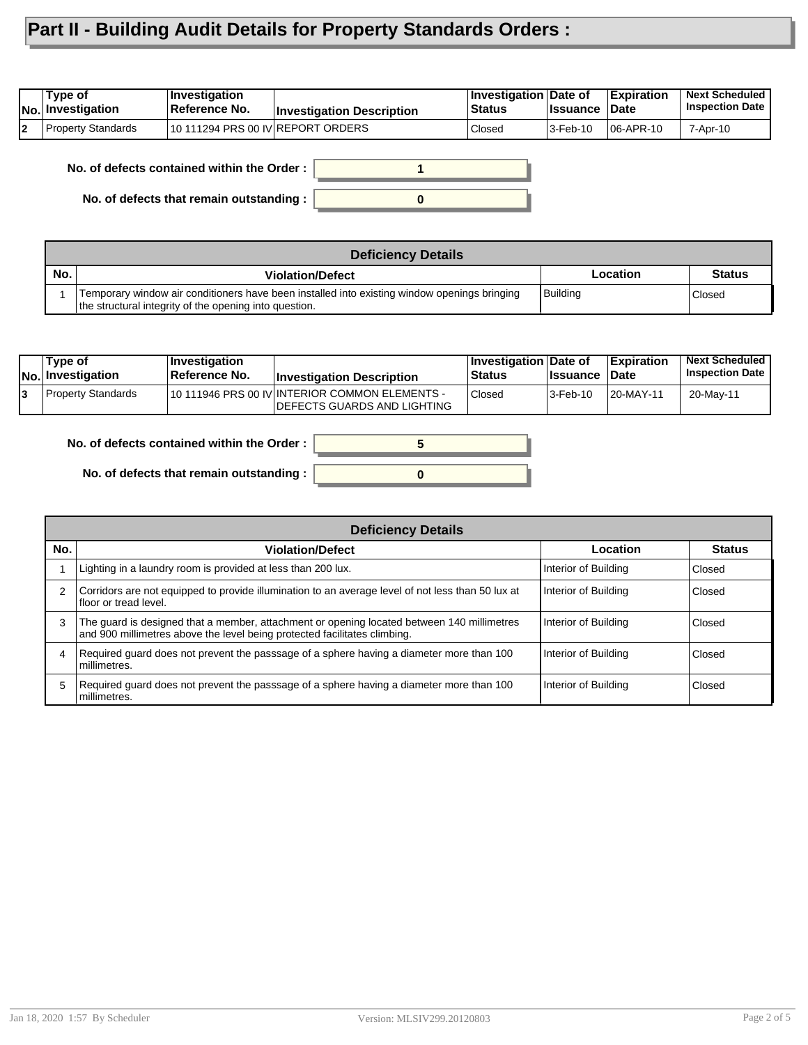## **Part II - Building Audit Details for Property Standards Orders :**

|   | Type of<br> No. Investigation | ∣Investiqation<br><b>Reference No.</b> | <b>Investigation Description</b> | <b>Investigation Date of</b><br><b>Status</b> | <b>I</b> ssuance | <b>Expiration</b><br>∣Date | <b>Next Scheduled</b><br><b>Inspection Date</b> |
|---|-------------------------------|----------------------------------------|----------------------------------|-----------------------------------------------|------------------|----------------------------|-------------------------------------------------|
| b | Property Standards            | 10 111294 PRS 00 IV REPORT ORDERS      |                                  | Closed                                        | $3$ -Feb-10      | $ 06 - APR - 10$           | 7-Apr-10                                        |

**No. of defects contained within the Order :**

**No. of defects that remain outstanding :**



|     | <b>Deficiency Details</b>                                                                                                                              |          |               |  |  |
|-----|--------------------------------------------------------------------------------------------------------------------------------------------------------|----------|---------------|--|--|
| No. | <b>Violation/Defect</b>                                                                                                                                | Location | <b>Status</b> |  |  |
|     | Temporary window air conditioners have been installed into existing window openings bringing<br>the structural integrity of the opening into question. | Building | Closed        |  |  |

| Type of<br> No. Investigation | <b>Investigation</b><br><b>Reference No.</b> | <b>Investigation Description</b>                                              | <b>Investigation Date of</b><br>Status | <b>Issuance</b> | <b>Expiration</b><br>∣Date | <b>Next Scheduled</b><br><b>Inspection Date I</b> |
|-------------------------------|----------------------------------------------|-------------------------------------------------------------------------------|----------------------------------------|-----------------|----------------------------|---------------------------------------------------|
| Property Standards            |                                              | 10 111946 PRS 00 IV INTERIOR COMMON ELEMENTS -<br>DEFECTS GUARDS AND LIGHTING | Closed                                 | 3-Feb-10        | 20-MAY-11                  | 20-May-11                                         |



**No. of defects that remain outstanding :**

|     | <b>Deficiency Details</b>                                                                                                                                               |                      |               |  |  |  |
|-----|-------------------------------------------------------------------------------------------------------------------------------------------------------------------------|----------------------|---------------|--|--|--|
| No. | <b>Violation/Defect</b>                                                                                                                                                 | Location             | <b>Status</b> |  |  |  |
|     | Lighting in a laundry room is provided at less than 200 lux.                                                                                                            | Interior of Building | i Closed      |  |  |  |
| 2   | Corridors are not equipped to provide illumination to an average level of not less than 50 lux at<br>Ifloor or tread level.                                             | Interior of Building | <b>Closed</b> |  |  |  |
| 3   | The guard is designed that a member, attachment or opening located between 140 millimetres<br>and 900 millimetres above the level being protected facilitates climbing. | Interior of Building | <b>Closed</b> |  |  |  |
| 4   | Required guard does not prevent the passsage of a sphere having a diameter more than 100<br>l millimetres.                                                              | Interior of Building | l Closed      |  |  |  |
| 5   | Required guard does not prevent the passsage of a sphere having a diameter more than 100<br>l millimetres.                                                              | Interior of Building | Closed        |  |  |  |

**0**

**5**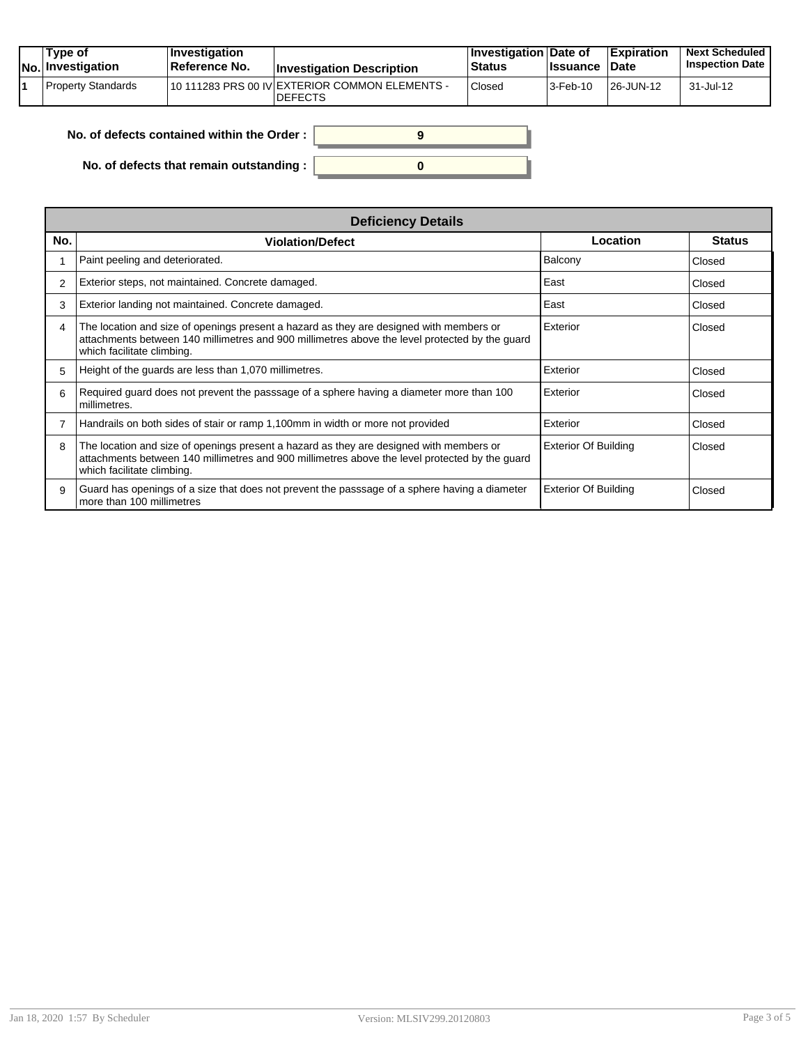|  | Tvpe of<br>$ No $ Investigation | $\blacksquare$ Investigation<br>Reference No. | <b>Investigation Description</b>                                 | <b>∣Investigation Date of</b><br><b>Status</b> | <b>Ilssuance Date</b> | <b>Expiration</b> | <b>Next Scheduled</b><br><b>Inspection Date</b> |
|--|---------------------------------|-----------------------------------------------|------------------------------------------------------------------|------------------------------------------------|-----------------------|-------------------|-------------------------------------------------|
|  | Property Standards              |                                               | 10 111283 PRS 00 IV EXTERIOR COMMON ELEMENTS -<br><b>DEFECTS</b> | Closed                                         | 3-Feb-10              | 26-JUN-12         | 31-Jul-12                                       |

| No. of defects contained within the Order:       |  |
|--------------------------------------------------|--|
| No. of defects that remain outstanding : $\vert$ |  |

|     | <b>Deficiency Details</b>                                                                                                                                                                                               |                             |               |  |  |  |  |
|-----|-------------------------------------------------------------------------------------------------------------------------------------------------------------------------------------------------------------------------|-----------------------------|---------------|--|--|--|--|
| No. | <b>Violation/Defect</b>                                                                                                                                                                                                 | Location                    | <b>Status</b> |  |  |  |  |
|     | Paint peeling and deteriorated.                                                                                                                                                                                         | Balcony                     | Closed        |  |  |  |  |
| 2   | Exterior steps, not maintained. Concrete damaged.                                                                                                                                                                       | East                        | Closed        |  |  |  |  |
| 3   | Exterior landing not maintained. Concrete damaged.                                                                                                                                                                      | East                        | Closed        |  |  |  |  |
| 4   | The location and size of openings present a hazard as they are designed with members or<br>attachments between 140 millimetres and 900 millimetres above the level protected by the guard<br>which facilitate climbing. | Exterior                    | Closed        |  |  |  |  |
| 5   | Height of the guards are less than 1,070 millimetres.                                                                                                                                                                   | Exterior                    | Closed        |  |  |  |  |
| 6   | Required guard does not prevent the passsage of a sphere having a diameter more than 100<br>millimetres.                                                                                                                | Exterior                    | Closed        |  |  |  |  |
|     | Handrails on both sides of stair or ramp 1,100mm in width or more not provided                                                                                                                                          | Exterior                    | Closed        |  |  |  |  |
| 8   | The location and size of openings present a hazard as they are designed with members or<br>attachments between 140 millimetres and 900 millimetres above the level protected by the guard<br>which facilitate climbing. | <b>Exterior Of Building</b> | Closed        |  |  |  |  |
| 9   | Guard has openings of a size that does not prevent the passsage of a sphere having a diameter<br>more than 100 millimetres                                                                                              | <b>Exterior Of Building</b> | Closed        |  |  |  |  |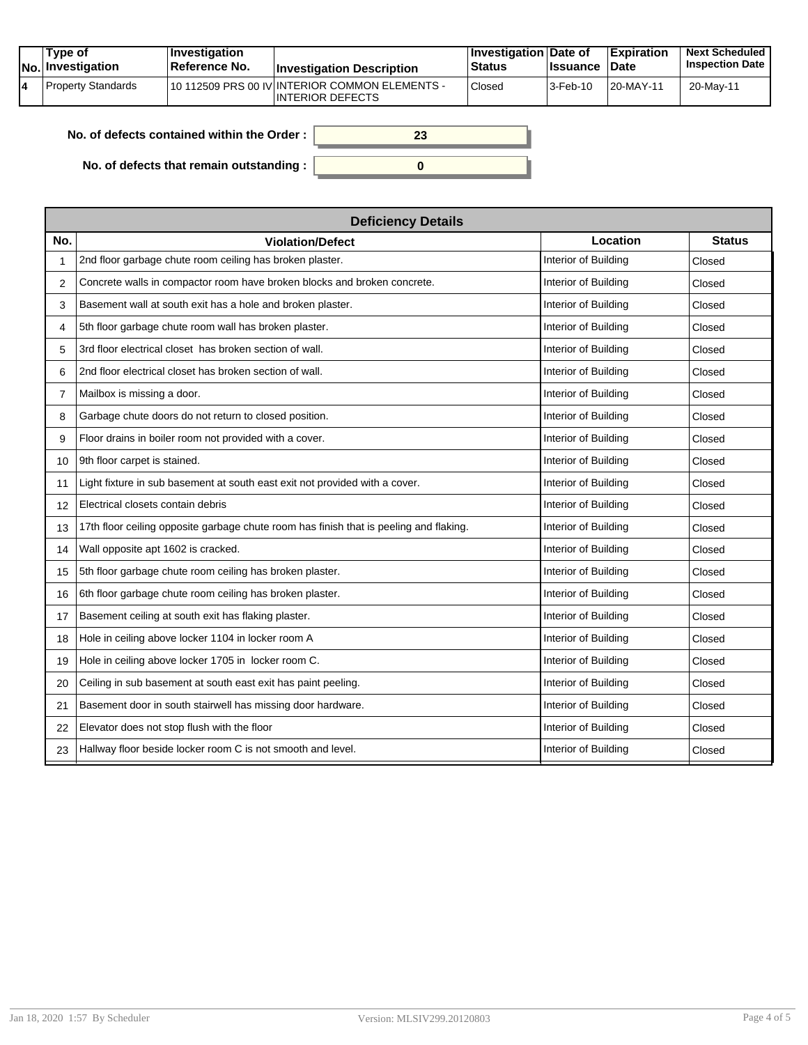| Type of<br>No. Investigation | $ $ Investigation<br><b>Reference No.</b> | <b>Investigation Description</b>                                   | <b>Investigation Date of</b><br><b>Status</b> | <b>Ilssuance Date</b>   | <b>Expiration</b> | <b>Next Scheduled</b><br><b>Inspection Date</b> |
|------------------------------|-------------------------------------------|--------------------------------------------------------------------|-----------------------------------------------|-------------------------|-------------------|-------------------------------------------------|
| Property Standards           |                                           | 10 112509 PRS 00 IV INTERIOR COMMON ELEMENTS -<br>INTERIOR DEFECTS | <b>Closed</b>                                 | $ 3 - \text{Feb} - 10 $ | 20-MAY-11         | 20-May-11                                       |

**0**

**23**

**No. of defects contained within the Order :**

**No. of defects that remain outstanding :**

|                | <b>Deficiency Details</b>                                                              |                      |               |  |  |  |
|----------------|----------------------------------------------------------------------------------------|----------------------|---------------|--|--|--|
| No.            | <b>Violation/Defect</b>                                                                | Location             | <b>Status</b> |  |  |  |
| 1              | 2nd floor garbage chute room ceiling has broken plaster.                               | Interior of Building | Closed        |  |  |  |
| 2              | Concrete walls in compactor room have broken blocks and broken concrete.               | Interior of Building | Closed        |  |  |  |
| 3              | Basement wall at south exit has a hole and broken plaster.                             | Interior of Building | Closed        |  |  |  |
| 4              | 5th floor garbage chute room wall has broken plaster.                                  | Interior of Building | Closed        |  |  |  |
| 5              | 3rd floor electrical closet has broken section of wall.                                | Interior of Building | Closed        |  |  |  |
| 6              | 2nd floor electrical closet has broken section of wall.                                | Interior of Building | Closed        |  |  |  |
| $\overline{7}$ | Mailbox is missing a door.                                                             | Interior of Building | Closed        |  |  |  |
| 8              | Garbage chute doors do not return to closed position.                                  | Interior of Building | Closed        |  |  |  |
| 9              | Floor drains in boiler room not provided with a cover.                                 | Interior of Building | Closed        |  |  |  |
| 10             | 9th floor carpet is stained.                                                           | Interior of Building | Closed        |  |  |  |
| 11             | Light fixture in sub basement at south east exit not provided with a cover.            | Interior of Building | Closed        |  |  |  |
| 12             | Electrical closets contain debris                                                      | Interior of Building | Closed        |  |  |  |
| 13             | 17th floor ceiling opposite garbage chute room has finish that is peeling and flaking. | Interior of Building | Closed        |  |  |  |
| 14             | Wall opposite apt 1602 is cracked.                                                     | Interior of Building | Closed        |  |  |  |
| 15             | 5th floor garbage chute room ceiling has broken plaster.                               | Interior of Building | Closed        |  |  |  |
| 16             | 6th floor garbage chute room ceiling has broken plaster.                               | Interior of Building | Closed        |  |  |  |
| 17             | Basement ceiling at south exit has flaking plaster.                                    | Interior of Building | Closed        |  |  |  |
| 18             | Hole in ceiling above locker 1104 in locker room A                                     | Interior of Building | Closed        |  |  |  |
| 19             | Hole in ceiling above locker 1705 in locker room C.                                    | Interior of Building | Closed        |  |  |  |
| 20             | Ceiling in sub basement at south east exit has paint peeling.                          | Interior of Building | Closed        |  |  |  |
| 21             | Basement door in south stairwell has missing door hardware.                            | Interior of Building | Closed        |  |  |  |
| 22             | Elevator does not stop flush with the floor                                            | Interior of Building | Closed        |  |  |  |
| 23             | Hallway floor beside locker room C is not smooth and level.                            | Interior of Building | Closed        |  |  |  |